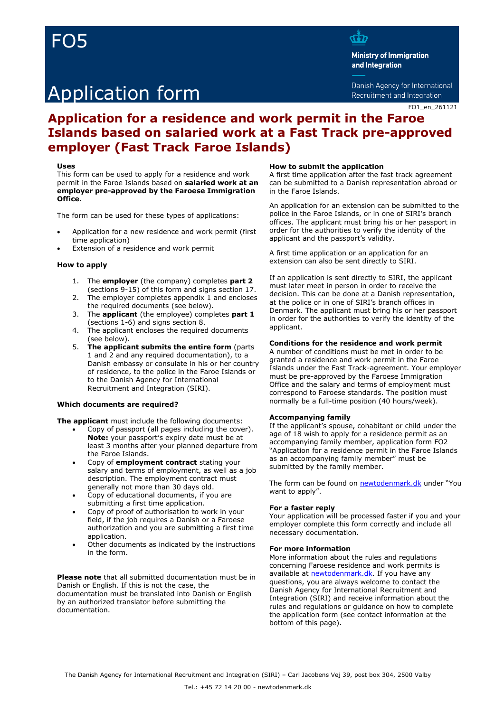# FO5

# Application form

d.<br>G

**Ministry of Immigration** and Integration

Danish Agency for International Recruitment and Integration

### **Application for a residence and work permit in the Faroe Islands based on salaried work at a Fast Track pre-approved employer (Fast Track Faroe Islands)**

#### **Uses**

This form can be used to apply for a residence and work permit in the Faroe Islands based on **salaried work at an employer pre-approved by the Faroese Immigration Office.**

The form can be used for these types of applications:

- Application for a new residence and work permit (first time application)
- Extension of a residence and work permit

#### **How to apply**

- 1. The **employer** (the company) completes **part 2** (sections 9-15) of this form and signs section 17.
- 2. The employer completes appendix 1 and encloses the required documents (see below).
- 3. The **applicant** (the employee) completes **part 1** (sections 1-6) and signs section 8.
- 4. The applicant encloses the required documents (see below).
- 5. **The applicant submits the entire form** (parts 1 and 2 and any required documentation), to a Danish embassy or consulate in his or her country of residence, to the police in the Faroe Islands or to the Danish Agency for International Recruitment and Integration (SIRI).

#### **Which documents are required?**

**The applicant** must include the following documents:

- Copy of passport (all pages including the cover). **Note:** your passport's expiry date must be at least 3 months after your planned departure from the Faroe Islands.
- Copy of **employment contract** stating your salary and terms of employment, as well as a job description. The employment contract must generally not more than 30 days old.
- Copy of educational documents, if you are submitting a first time application.
- Copy of proof of authorisation to work in your field, if the job requires a Danish or a Faroese authorization and you are submitting a first time application.
- Other documents as indicated by the instructions in the form.

**Please note** that all submitted documentation must be in Danish or English. If this is not the case, the documentation must be translated into Danish or English by an authorized translator before submitting the documentation.

#### **How to submit the application**

A first time application after the fast track agreement can be submitted to a Danish representation abroad or in the Faroe Islands.

An application for an extension can be submitted to the police in the Faroe Islands, or in one of SIRI's branch offices. The applicant must bring his or her passport in order for the authorities to verify the identity of the applicant and the passport's validity.

A first time application or an application for an extension can also be sent directly to SIRI.

If an application is sent directly to SIRI, the applicant must later meet in person in order to receive the decision. This can be done at a Danish representation, at the police or in one of SIRI's branch offices in Denmark. The applicant must bring his or her passport in order for the authorities to verify the identity of the applicant.

#### **Conditions for the residence and work permit**

A number of conditions must be met in order to be granted a residence and work permit in the Faroe Islands under the Fast Track-agreement. Your employer must be pre-approved by the Faroese Immigration Office and the salary and terms of employment must correspond to Faroese standards. The position must normally be a full-time position (40 hours/week).

#### **Accompanying family**

If the applicant's spouse, cohabitant or child under the age of 18 wish to apply for a residence permit as an accompanying family member, application form FO2 "Application for a residence permit in the Faroe Islands as an accompanying family member" must be submitted by the family member.

The form can be found on [newtodenmark.dk](https://www.nyidanmark.dk/en-GB/You-want-to-apply/The-Faroe-Islands-and-Greenland/Accompanying-family---The-Faroe-Islands) under "You want to apply".

#### **For a faster reply**

Your application will be processed faster if you and your employer complete this form correctly and include all necessary documentation.

#### **For more information**

More information about the rules and regulations concerning Faroese residence and work permits is available at [newtodenmark.dk.](https://www.nyidanmark.dk/en-GB/You-want-to-apply/The-Faroe-Islands-and-Greenland/Work-on-the-Faroe-Islands) If you have any questions, you are always welcome to contact the Danish Agency for International Recruitment and Integration (SIRI) and receive information about the rules and regulations or guidance on how to complete the application form (see contact information at the bottom of this page).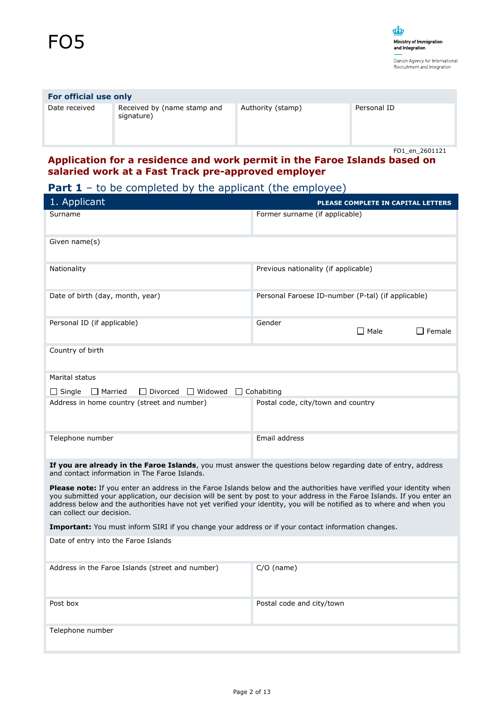## **For official use only**

Date received Received by (name stamp and signature)

Authority (stamp) Personal ID

FO1\_en\_2601121

### **Application for a residence and work permit in the Faroe Islands based on salaried work at a Fast Track pre-approved employer**

## **Part 1** – to be completed by the applicant (the employee)

| 1. Applicant                                                                                                                                                                                                                                                                                                                                                                                         | PLEASE COMPLETE IN CAPITAL LETTERS                 |  |
|------------------------------------------------------------------------------------------------------------------------------------------------------------------------------------------------------------------------------------------------------------------------------------------------------------------------------------------------------------------------------------------------------|----------------------------------------------------|--|
| Surname                                                                                                                                                                                                                                                                                                                                                                                              | Former surname (if applicable)                     |  |
| Given name(s)                                                                                                                                                                                                                                                                                                                                                                                        |                                                    |  |
| Nationality                                                                                                                                                                                                                                                                                                                                                                                          | Previous nationality (if applicable)               |  |
| Date of birth (day, month, year)                                                                                                                                                                                                                                                                                                                                                                     | Personal Faroese ID-number (P-tal) (if applicable) |  |
| Personal ID (if applicable)                                                                                                                                                                                                                                                                                                                                                                          | Gender<br>$\Box$ Male<br>I Female                  |  |
| Country of birth                                                                                                                                                                                                                                                                                                                                                                                     |                                                    |  |
| Marital status                                                                                                                                                                                                                                                                                                                                                                                       |                                                    |  |
| $\Box$ Single<br>$\Box$ Divorced $\Box$ Widowed<br>$\Box$ Married                                                                                                                                                                                                                                                                                                                                    | $\Box$ Cohabiting                                  |  |
| Address in home country (street and number)                                                                                                                                                                                                                                                                                                                                                          | Postal code, city/town and country                 |  |
| Telephone number                                                                                                                                                                                                                                                                                                                                                                                     | Email address                                      |  |
| If you are already in the Faroe Islands, you must answer the questions below regarding date of entry, address<br>and contact information in The Faroe Islands.                                                                                                                                                                                                                                       |                                                    |  |
| Please note: If you enter an address in the Faroe Islands below and the authorities have verified your identity when<br>you submitted your application, our decision will be sent by post to your address in the Faroe Islands. If you enter an<br>address below and the authorities have not yet verified your identity, you will be notified as to where and when you<br>can collect our decision. |                                                    |  |
| Important: You must inform SIRI if you change your address or if your contact information changes.                                                                                                                                                                                                                                                                                                   |                                                    |  |
| Date of entry into the Faroe Islands                                                                                                                                                                                                                                                                                                                                                                 |                                                    |  |
| Address in the Faroe Islands (street and number)                                                                                                                                                                                                                                                                                                                                                     | $C/O$ (name)                                       |  |
| Post box                                                                                                                                                                                                                                                                                                                                                                                             | Postal code and city/town                          |  |
| Telephone number                                                                                                                                                                                                                                                                                                                                                                                     |                                                    |  |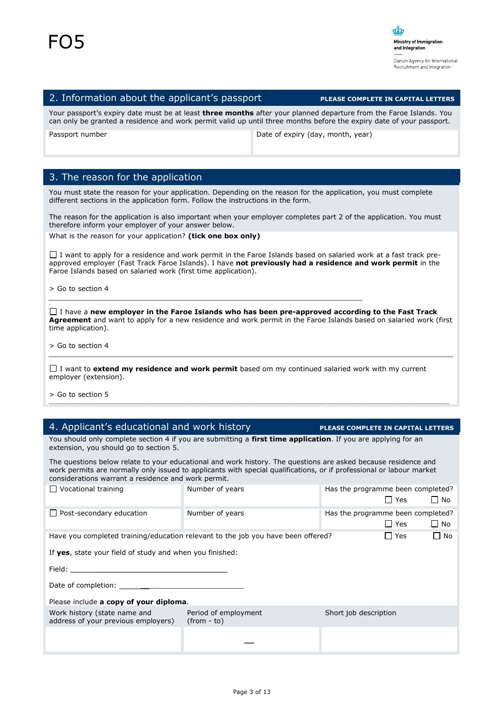#### 2. Information about the applicant's passport **PLEASE COMPLETE IN CAPITAL LETTERS**

Your passport's expiry date must be at least **three months** after your planned departure from the Faroe Islands. You can only be granted a residence and work permit valid up until three months before the expiry date of your passport.

| Passport number |  |
|-----------------|--|
|-----------------|--|

Date of expiry (day, month, year)

### 3. The reason for the application

You must state the reason for your application. Depending on the reason for the application, you must complete different sections in the application form. Follow the instructions in the form.

The reason for the application is also important when your employer completes part 2 of the application. You must therefore inform your employer of your answer below.

What is the reason for your application? **(tick one box only)**

 $\Box$  I want to apply for a residence and work permit in the Faroe Islands based on salaried work at a fast track preapproved employer (Fast Track Faroe Islands). I have **not previously had a residence and work permit** in the Faroe Islands based on salaried work (first time application).

*\_\_\_\_\_\_\_\_\_\_\_\_\_\_\_\_\_\_\_\_\_\_\_\_\_\_\_\_\_\_\_\_\_\_\_\_\_\_\_\_\_\_\_\_\_\_\_\_\_\_\_\_\_\_\_\_\_\_\_\_\_\_\_\_\_\_\_\_\_\_\_\_\_*

> Go to section 4

,

I have a **new employer in the Faroe Islands who has been pre-approved according to the Fast Track Agreement** and want to apply for a new residence and work permit in the Faroe Islands based on salaried work (first time application).

*\_\_\_\_\_\_\_\_\_\_\_\_\_\_\_\_\_\_\_\_\_\_\_\_\_\_\_\_\_\_\_\_\_\_\_\_\_\_\_\_\_\_\_\_\_\_\_\_\_\_\_\_\_\_\_\_\_\_\_\_\_\_\_\_\_\_\_\_\_\_\_\_\_\_\_\_\_\_\_\_\_\_\_\_\_\_\_\_\_\_\_\_\_\_*

*\_\_\_\_\_\_\_\_\_\_\_\_\_\_\_\_\_\_\_\_\_\_\_\_\_\_\_\_\_\_\_\_\_\_\_\_\_\_\_\_\_\_\_\_\_\_\_\_\_\_\_\_\_\_\_\_\_\_\_\_\_\_\_\_\_\_\_\_\_\_\_\_\_\_\_\_\_\_\_\_\_\_\_\_\_\_\_\_\_\_\_\_\_\_\_\_\_\_\_\_\_\_\_\_\_\_\_\_\_\_\_\_\_\_\_\_\_\_\_\_\_\_\_\_*

> Go to section 4

I want to **extend my residence and work permit** based om my continued salaried work with my current employer (extension).

> Go to section 5

#### 4. Applicant's educational and work history **PLEASE COMPLETE IN CAPITAL LETTERS**

You should only complete section 4 if you are submitting a **first time application**. If you are applying for an extension, you should go to section 5.

The questions below relate to your educational and work history. The questions are asked because residence and work permits are normally only issued to applicants with special qualifications, or if professional or labour market considerations warrant a residence and work permit.

| Vocational training                                                                                                                                                                                                            | Number of years                                                                  | Has the programme been completed?<br>$\Box$ Yes<br>$\Box$ No |  |
|--------------------------------------------------------------------------------------------------------------------------------------------------------------------------------------------------------------------------------|----------------------------------------------------------------------------------|--------------------------------------------------------------|--|
| $\Box$ Post-secondary education                                                                                                                                                                                                | Number of years                                                                  | Has the programme been completed?<br>$\Box$ Yes<br>$\Box$ No |  |
|                                                                                                                                                                                                                                | Have you completed training/education relevant to the job you have been offered? | $\Box$ No<br>LI Yes                                          |  |
| If yes, state your field of study and when you finished:                                                                                                                                                                       |                                                                                  |                                                              |  |
| Field: The contract of the contract of the contract of the contract of the contract of the contract of the contract of the contract of the contract of the contract of the contract of the contract of the contract of the con |                                                                                  |                                                              |  |
|                                                                                                                                                                                                                                |                                                                                  |                                                              |  |
| Please include a copy of your diploma.                                                                                                                                                                                         |                                                                                  |                                                              |  |
| Work history (state name and<br>address of your previous employers)                                                                                                                                                            | Period of employment<br>$(from - to)$                                            | Short job description                                        |  |
|                                                                                                                                                                                                                                |                                                                                  |                                                              |  |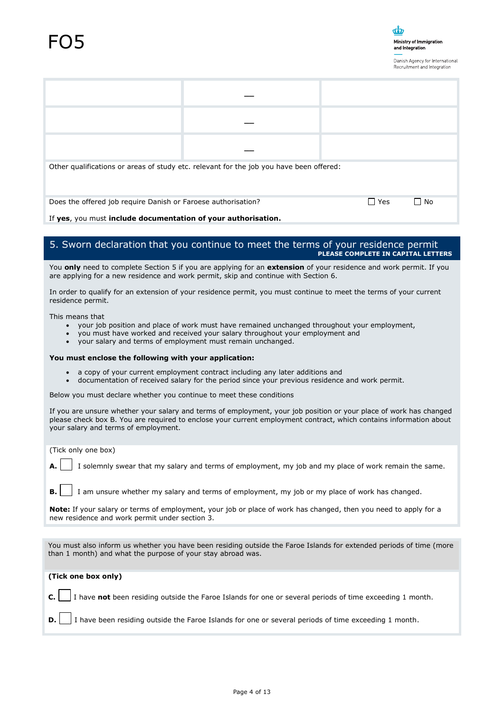

| Other qualifications or areas of study etc. relevant for the job you have been offered: |  |            |           |
|-----------------------------------------------------------------------------------------|--|------------|-----------|
| Does the offered job require Danish or Faroese authorisation?<br>.                      |  | $\Box$ Yes | $\Box$ No |

If **yes**, you must **include documentation of your authorisation.**

#### 5. Sworn declaration that you continue to meet the terms of your residence permit **PLEASE COMPLETE IN CAPITAL LETTERS**

You **only** need to complete Section 5 if you are applying for an **extension** of your residence and work permit. If you are applying for a new residence and work permit, skip and continue with Section 6.

In order to qualify for an extension of your residence permit, you must continue to meet the terms of your current residence permit.

This means that

- your job position and place of work must have remained unchanged throughout your employment,
- you must have worked and received your salary throughout your employment and
- your salary and terms of employment must remain unchanged.

#### **You must enclose the following with your application:**

- a copy of your current employment contract including any later additions and
- documentation of received salary for the period since your previous residence and work permit.

Below you must declare whether you continue to meet these conditions

If you are unsure whether your salary and terms of employment, your job position or your place of work has changed please check box B. You are required to enclose your current employment contract, which contains information about your salary and terms of employment.

(Tick only one box)

**A.** I solemnly swear that my salary and terms of employment, my job and my place of work remain the same.

**B.** I am unsure whether my salary and terms of employment, my job or my place of work has changed.

**Note:** If your salary or terms of employment, your job or place of work has changed, then you need to apply for a new residence and work permit under section 3.

You must also inform us whether you have been residing outside the Faroe Islands for extended periods of time (more than 1 month) and what the purpose of your stay abroad was.

**(Tick one box only)**

**C.** I have **not** been residing outside the Faroe Islands for one or several periods of time exceeding 1 month.

**D.** I have been residing outside the Faroe Islands for one or several periods of time exceeding 1 month.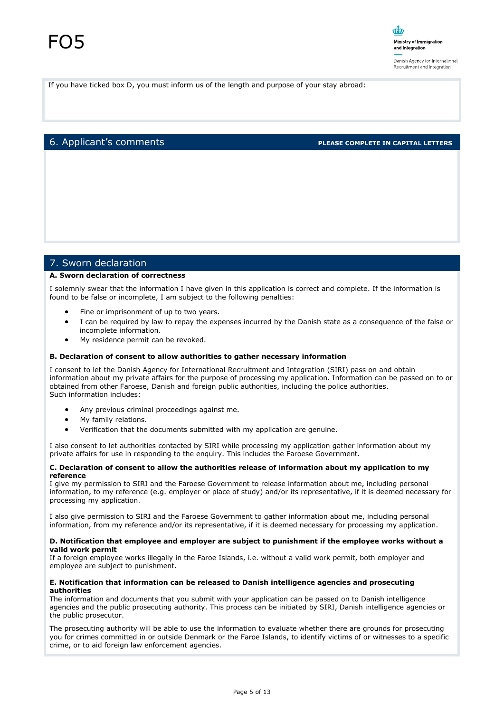If you have ticked box D, you must inform us of the length and purpose of your stay abroad:

#### 6. Applicant's comments **PLEASE COMPLETE IN CAPITAL LETTERS**

#### 7. Sworn declaration

#### **A. Sworn declaration of correctness**

I solemnly swear that the information I have given in this application is correct and complete. If the information is found to be false or incomplete, I am subject to the following penalties:

- Fine or imprisonment of up to two years.
- I can be required by law to repay the expenses incurred by the Danish state as a consequence of the false or incomplete information.
- My residence permit can be revoked.

#### **B. Declaration of consent to allow authorities to gather necessary information**

I consent to let the Danish Agency for International Recruitment and Integration (SIRI) pass on and obtain information about my private affairs for the purpose of processing my application. Information can be passed on to or obtained from other Faroese, Danish and foreign public authorities, including the police authorities. Such information includes:

- Any previous criminal proceedings against me.
- My family relations.
- Verification that the documents submitted with my application are genuine.

I also consent to let authorities contacted by SIRI while processing my application gather information about my private affairs for use in responding to the enquiry. This includes the Faroese Government.

#### **C. Declaration of consent to allow the authorities release of information about my application to my reference**

I give my permission to SIRI and the Faroese Government to release information about me, including personal information, to my reference (e.g. employer or place of study) and/or its representative, if it is deemed necessary for processing my application.

I also give permission to SIRI and the Faroese Government to gather information about me, including personal information, from my reference and/or its representative, if it is deemed necessary for processing my application.

#### **D. Notification that employee and employer are subject to punishment if the employee works without a valid work permit**

If a foreign employee works illegally in the Faroe Islands, i.e. without a valid work permit, both employer and employee are subject to punishment.

#### **E. Notification that information can be released to Danish intelligence agencies and prosecuting authorities**

The information and documents that you submit with your application can be passed on to Danish intelligence agencies and the public prosecuting authority. This process can be initiated by SIRI, Danish intelligence agencies or the public prosecutor.

The prosecuting authority will be able to use the information to evaluate whether there are grounds for prosecuting you for crimes committed in or outside Denmark or the Faroe Islands, to identify victims of or witnesses to a specific crime, or to aid foreign law enforcement agencies.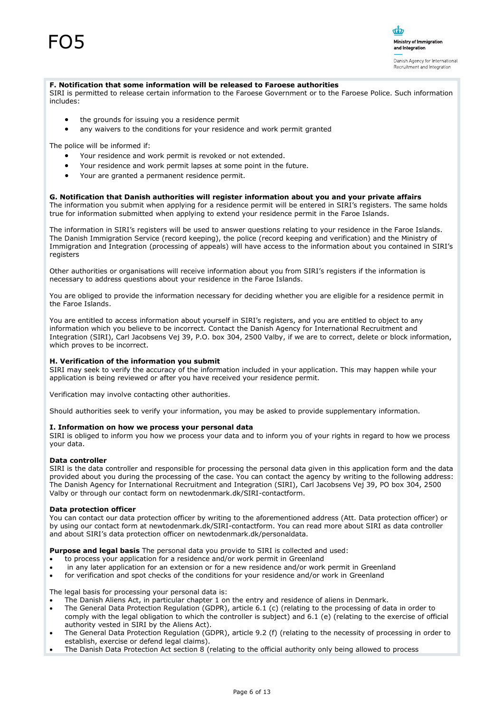#### **F. Notification that some information will be released to Faroese authorities**

SIRI is permitted to release certain information to the Faroese Government or to the Faroese Police. Such information includes:

ന്മ

Ministry of Immigration and Integration

Danish Agency for International Recruitment and Integration

- the grounds for issuing you a residence permit
- any waivers to the conditions for your residence and work permit granted

The police will be informed if:

- Your residence and work permit is revoked or not extended.
- Your residence and work permit lapses at some point in the future.
- Your are granted a permanent residence permit.

#### **G. Notification that Danish authorities will register information about you and your private affairs**

The information you submit when applying for a residence permit will be entered in SIRI's registers. The same holds true for information submitted when applying to extend your residence permit in the Faroe Islands.

The information in SIRI's registers will be used to answer questions relating to your residence in the Faroe Islands. The Danish Immigration Service (record keeping), the police (record keeping and verification) and the Ministry of Immigration and Integration (processing of appeals) will have access to the information about you contained in SIRI's registers

Other authorities or organisations will receive information about you from SIRI's registers if the information is necessary to address questions about your residence in the Faroe Islands.

You are obliged to provide the information necessary for deciding whether you are eligible for a residence permit in the Faroe Islands.

You are entitled to access information about yourself in SIRI's registers, and you are entitled to object to any information which you believe to be incorrect. Contact the Danish Agency for International Recruitment and Integration (SIRI), Carl Jacobsens Vej 39, P.O. box 304, 2500 Valby, if we are to correct, delete or block information, which proves to be incorrect.

#### **H. Verification of the information you submit**

SIRI may seek to verify the accuracy of the information included in your application. This may happen while your application is being reviewed or after you have received your residence permit.

Verification may involve contacting other authorities.

Should authorities seek to verify your information, you may be asked to provide supplementary information.

#### **I. Information on how we process your personal data**

SIRI is obliged to inform you how we process your data and to inform you of your rights in regard to how we process your data.

#### **Data controller**

SIRI is the data controller and responsible for processing the personal data given in this application form and the data provided about you during the processing of the case. You can contact the agency by writing to the following address: The Danish Agency for International Recruitment and Integration (SIRI), Carl Jacobsens Vej 39, PO box 304, 2500 Valby or through our contact form on newtodenmark.dk/SIRI-contactform.

#### **Data protection officer**

You can contact our data protection officer by writing to the aforementioned address (Att. Data protection officer) or by using our contact form at newtodenmark.dk/SIRI-contactform. You can read more about SIRI as data controller and about SIRI's data protection officer on newtodenmark.dk/personaldata.

**Purpose and legal basis** The personal data you provide to SIRI is collected and used:

- to process your application for a residence and/or work permit in Greenland
- in any later application for an extension or for a new residence and/or work permit in Greenland
- for verification and spot checks of the conditions for your residence and/or work in Greenland

The legal basis for processing your personal data is:

- The Danish Aliens Act, in particular chapter 1 on the entry and residence of aliens in Denmark.
- The General Data Protection Regulation (GDPR), article 6.1 (c) (relating to the processing of data in order to comply with the legal obligation to which the controller is subject) and 6.1 (e) (relating to the exercise of official authority vested in SIRI by the Aliens Act).
- The General Data Protection Regulation (GDPR), article 9.2 (f) (relating to the necessity of processing in order to establish, exercise or defend legal claims).
- The Danish Data Protection Act section 8 (relating to the official authority only being allowed to process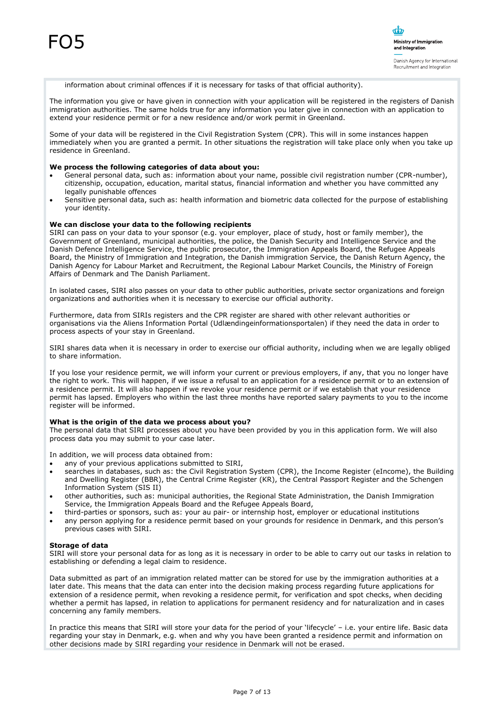

information about criminal offences if it is necessary for tasks of that official authority).

The information you give or have given in connection with your application will be registered in the registers of Danish immigration authorities. The same holds true for any information you later give in connection with an application to extend your residence permit or for a new residence and/or work permit in Greenland.

Some of your data will be registered in the Civil Registration System (CPR). This will in some instances happen immediately when you are granted a permit. In other situations the registration will take place only when you take up residence in Greenland.

#### **We process the following categories of data about you:**

- General personal data, such as: information about your name, possible civil registration number (CPR-number), citizenship, occupation, education, marital status, financial information and whether you have committed any legally punishable offences
- Sensitive personal data, such as: health information and biometric data collected for the purpose of establishing your identity.

#### **We can disclose your data to the following recipients**

SIRI can pass on your data to your sponsor (e.g. your employer, place of study, host or family member), the Government of Greenland, municipal authorities, the police, the Danish Security and Intelligence Service and the Danish Defence Intelligence Service, the public prosecutor, the Immigration Appeals Board, the Refugee Appeals Board, the Ministry of Immigration and Integration, the Danish immigration Service, the Danish Return Agency, the Danish Agency for Labour Market and Recruitment, the Regional Labour Market Councils, the Ministry of Foreign Affairs of Denmark and The Danish Parliament.

In isolated cases, SIRI also passes on your data to other public authorities, private sector organizations and foreign organizations and authorities when it is necessary to exercise our official authority.

Furthermore, data from SIRIs registers and the CPR register are shared with other relevant authorities or organisations via the Aliens Information Portal (Udlændingeinformationsportalen) if they need the data in order to process aspects of your stay in Greenland.

SIRI shares data when it is necessary in order to exercise our official authority, including when we are legally obliged to share information.

If you lose your residence permit, we will inform your current or previous employers, if any, that you no longer have the right to work. This will happen, if we issue a refusal to an application for a residence permit or to an extension of a residence permit. It will also happen if we revoke your residence permit or if we establish that your residence permit has lapsed. Employers who within the last three months have reported salary payments to you to the income register will be informed.

#### **What is the origin of the data we process about you?**

The personal data that SIRI processes about you have been provided by you in this application form. We will also process data you may submit to your case later.

In addition, we will process data obtained from:

- any of your previous applications submitted to SIRI,
- searches in databases, such as: the Civil Registration System (CPR), the Income Register (eIncome), the Building and Dwelling Register (BBR), the Central Crime Register (KR), the Central Passport Register and the Schengen Information System (SIS II)
- other authorities, such as: municipal authorities, the Regional State Administration, the Danish Immigration Service, the Immigration Appeals Board and the Refugee Appeals Board,
- third-parties or sponsors, such as: your au pair- or internship host, employer or educational institutions
- any person applying for a residence permit based on your grounds for residence in Denmark, and this person's previous cases with SIRI.

#### **Storage of data**

SIRI will store your personal data for as long as it is necessary in order to be able to carry out our tasks in relation to establishing or defending a legal claim to residence.

Data submitted as part of an immigration related matter can be stored for use by the immigration authorities at a later date. This means that the data can enter into the decision making process regarding future applications for extension of a residence permit, when revoking a residence permit, for verification and spot checks, when deciding whether a permit has lapsed, in relation to applications for permanent residency and for naturalization and in cases concerning any family members.

In practice this means that SIRI will store your data for the period of your 'lifecycle' – i.e. your entire life. Basic data regarding your stay in Denmark, e.g. when and why you have been granted a residence permit and information on other decisions made by SIRI regarding your residence in Denmark will not be erased.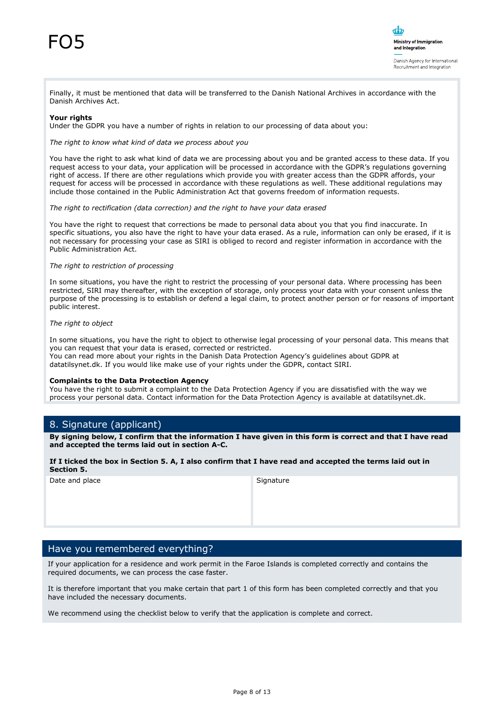

Finally, it must be mentioned that data will be transferred to the Danish National Archives in accordance with the Danish Archives Act.

#### **Your rights**

Under the GDPR you have a number of rights in relation to our processing of data about you:

*The right to know what kind of data we process about you* 

You have the right to ask what kind of data we are processing about you and be granted access to these data. If you request access to your data, your application will be processed in accordance with the GDPR's regulations governing right of access. If there are other regulations which provide you with greater access than the GDPR affords, your request for access will be processed in accordance with these regulations as well. These additional regulations may include those contained in the Public Administration Act that governs freedom of information requests.

*The right to rectification (data correction) and the right to have your data erased* 

You have the right to request that corrections be made to personal data about you that you find inaccurate. In specific situations, you also have the right to have your data erased. As a rule, information can only be erased, if it is not necessary for processing your case as SIRI is obliged to record and register information in accordance with the Public Administration Act.

#### *The right to restriction of processing*

In some situations, you have the right to restrict the processing of your personal data. Where processing has been restricted, SIRI may thereafter, with the exception of storage, only process your data with your consent unless the purpose of the processing is to establish or defend a legal claim, to protect another person or for reasons of important public interest.

#### *The right to object*

In some situations, you have the right to object to otherwise legal processing of your personal data. This means that you can request that your data is erased, corrected or restricted. You can read more about your rights in the Danish Data Protection Agency's guidelines about GDPR at datatilsynet.dk. If you would like make use of your rights under the GDPR, contact SIRI.

#### **Complaints to the Data Protection Agency**

You have the right to submit a complaint to the Data Protection Agency if you are dissatisfied with the way we process your personal data. Contact information for the Data Protection Agency is available at datatilsynet.dk.

#### 8. Signature (applicant)

**By signing below, I confirm that the information I have given in this form is correct and that I have read and accepted the terms laid out in section A-C.** 

#### **If I ticked the box in Section 5. A, I also confirm that I have read and accepted the terms laid out in Section 5.**

Date and place Signature

#### Have you remembered everything?

If your application for a residence and work permit in the Faroe Islands is completed correctly and contains the required documents, we can process the case faster.

It is therefore important that you make certain that part 1 of this form has been completed correctly and that you have included the necessary documents.

We recommend using the checklist below to verify that the application is complete and correct.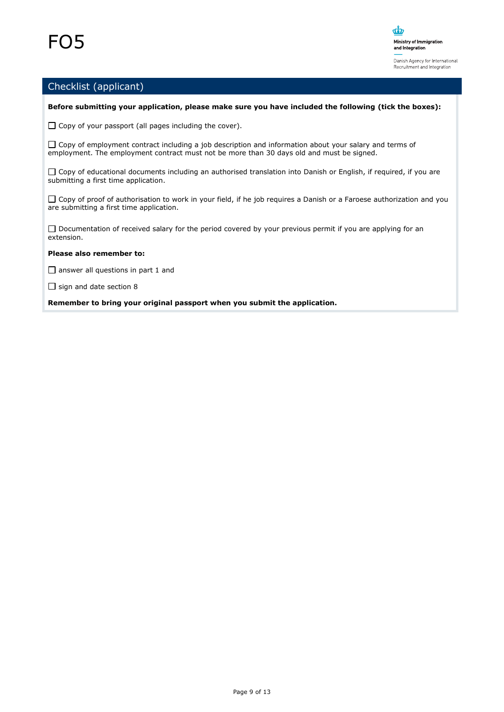

### Checklist (applicant)

#### **Before submitting your application, please make sure you have included the following (tick the boxes):**

 $\Box$  Copy of your passport (all pages including the cover).

 $\Box$  Copy of employment contract including a job description and information about your salary and terms of employment. The employment contract must not be more than 30 days old and must be signed.

 $\Box$  Copy of educational documents including an authorised translation into Danish or English, if required, if you are submitting a first time application.

 $\Box$  Copy of proof of authorisation to work in your field, if he job requires a Danish or a Faroese authorization and you are submitting a first time application.

□ Documentation of received salary for the period covered by your previous permit if you are applying for an extension.

#### **Please also remember to:**

 $\Box$  answer all questions in part 1 and

 $\Box$  sign and date section 8

**Remember to bring your original passport when you submit the application.**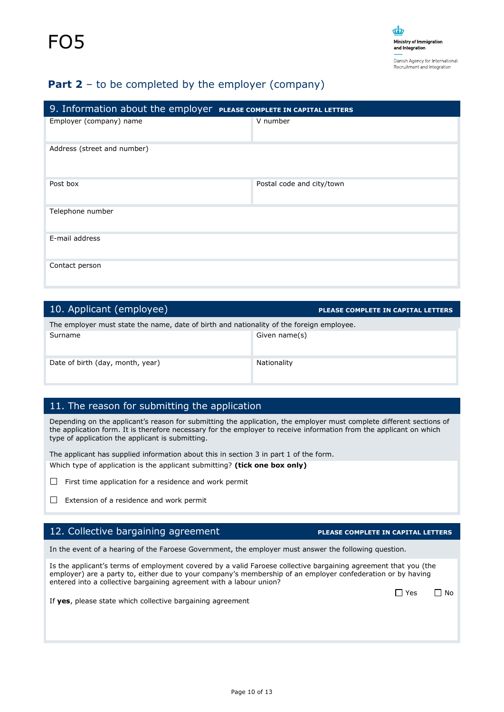### **Part 2** – to be completed by the employer (company)

| 9. Information about the employer PLEASE COMPLETE IN CAPITAL LETTERS |                           |  |
|----------------------------------------------------------------------|---------------------------|--|
| Employer (company) name                                              | V number                  |  |
| Address (street and number)                                          |                           |  |
| Post box                                                             | Postal code and city/town |  |
| Telephone number                                                     |                           |  |
| E-mail address                                                       |                           |  |
| Contact person                                                       |                           |  |

| 10. Applicant (employee)                                                                 | <b>PLEASE COMPLETE IN CAPITAL LETTERS</b> |  |
|------------------------------------------------------------------------------------------|-------------------------------------------|--|
| The employer must state the name, date of birth and nationality of the foreign employee. |                                           |  |
| Surname                                                                                  | Given name(s)                             |  |
| Date of birth (day, month, year)                                                         | Nationality                               |  |

### 11. The reason for submitting the application

Depending on the applicant's reason for submitting the application, the employer must complete different sections of the application form. It is therefore necessary for the employer to receive information from the applicant on which type of application the applicant is submitting.

The applicant has supplied information about this in section 3 in part 1 of the form. Which type of application is the applicant submitting? **(tick one box only)**

- $\Box$  First time application for a residence and work permit
- $\Box$  Extension of a residence and work permit

### 12. Collective bargaining agreement **PLEASE COMPLETE IN CAPITAL LETTERS**

In the event of a hearing of the Faroese Government, the employer must answer the following question.

Is the applicant's terms of employment covered by a valid Faroese collective bargaining agreement that you (the employer) are a party to, either due to your company's membership of an employer confederation or by having entered into a collective bargaining agreement with a labour union?

No. 2008 No. 2009 No. 2009 No. 2009 No. 2009 No. 2009 No. 2009 No. 2009 No. 2009 No. 2009 No. 2009 No. 2009 No

If **yes**, please state which collective bargaining agreement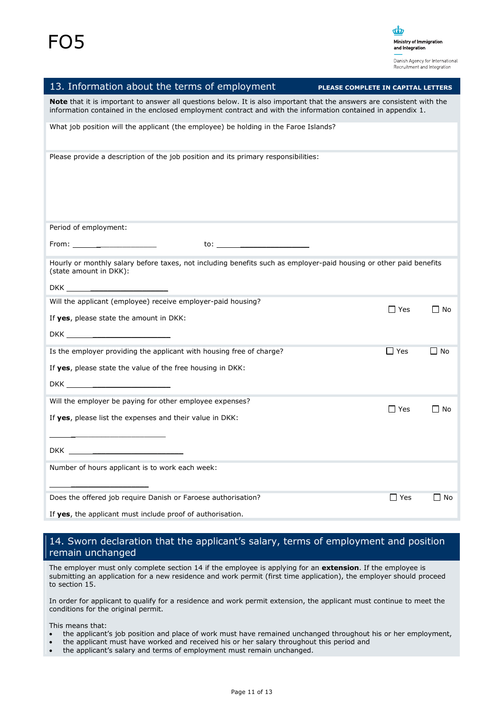

| 13. Information about the terms of employment                                                                                                                                                                                                | PLEASE COMPLETE IN CAPITAL LETTERS |  |
|----------------------------------------------------------------------------------------------------------------------------------------------------------------------------------------------------------------------------------------------|------------------------------------|--|
| <b>Note</b> that it is important to answer all questions below. It is also important that the answers are consistent with the<br>information contained in the enclosed employment contract and with the information contained in appendix 1. |                                    |  |
| What job position will the applicant (the employee) be holding in the Faroe Islands?                                                                                                                                                         |                                    |  |
| Please provide a description of the job position and its primary responsibilities:                                                                                                                                                           |                                    |  |
| Period of employment:                                                                                                                                                                                                                        |                                    |  |
| $From: ________$                                                                                                                                                                                                                             |                                    |  |
| Hourly or monthly salary before taxes, not including benefits such as employer-paid housing or other paid benefits<br>(state amount in DKK):                                                                                                 |                                    |  |
| DKK and the contract of the contract of the contract of the contract of the contract of the contract of the contract of the contract of the contract of the contract of the contract of the contract of the contract of the co               |                                    |  |
| Will the applicant (employee) receive employer-paid housing?                                                                                                                                                                                 |                                    |  |
| If yes, please state the amount in DKK:                                                                                                                                                                                                      | $\Box$ Yes<br>$\Box$ No            |  |
|                                                                                                                                                                                                                                              |                                    |  |
| Is the employer providing the applicant with housing free of charge?                                                                                                                                                                         | $\Box$ No<br>$\Box$ Yes            |  |
| If yes, please state the value of the free housing in DKK:                                                                                                                                                                                   |                                    |  |
|                                                                                                                                                                                                                                              |                                    |  |
| Will the employer be paying for other employee expenses?                                                                                                                                                                                     |                                    |  |
| If yes, please list the expenses and their value in DKK:                                                                                                                                                                                     | $\Box$ Yes<br>Π No                 |  |
|                                                                                                                                                                                                                                              |                                    |  |
|                                                                                                                                                                                                                                              |                                    |  |
| Number of hours applicant is to work each week:                                                                                                                                                                                              |                                    |  |
| Does the offered job require Danish or Faroese authorisation?                                                                                                                                                                                | $\Box$ Yes<br>$\square$ No         |  |
| If yes, the applicant must include proof of authorisation.                                                                                                                                                                                   |                                    |  |

### 14. Sworn declaration that the applicant's salary, terms of employment and position remain unchanged

The employer must only complete section 14 if the employee is applying for an **extension**. If the employee is submitting an application for a new residence and work permit (first time application), the employer should proceed to section 15.

In order for applicant to qualify for a residence and work permit extension, the applicant must continue to meet the conditions for the original permit.

This means that:

- the applicant's job position and place of work must have remained unchanged throughout his or her employment,
- the applicant must have worked and received his or her salary throughout this period and
- the applicant's salary and terms of employment must remain unchanged.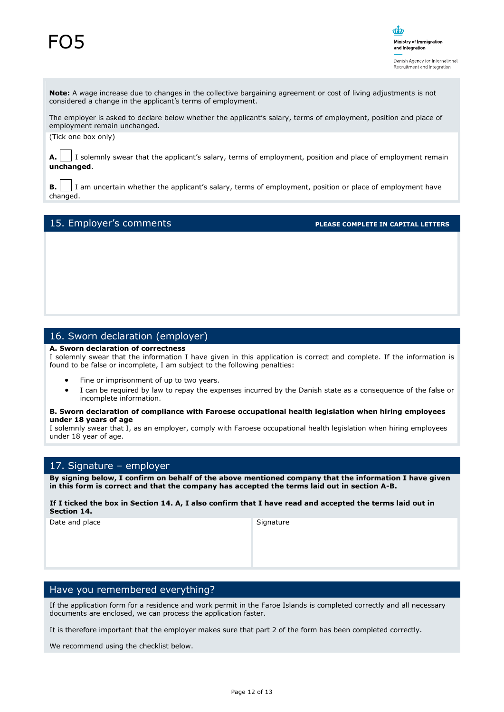# FO5



**Note:** A wage increase due to changes in the collective bargaining agreement or cost of living adjustments is not considered a change in the applicant's terms of employment.

The employer is asked to declare below whether the applicant's salary, terms of employment, position and place of employment remain unchanged.

(Tick one box only)

**A.** I solemnly swear that the applicant's salary, terms of employment, position and place of employment remain **unchanged**.

**B.** | I am uncertain whether the applicant's salary, terms of employment, position or place of employment have changed.

#### 15. Employer's comments **PLEASE COMPLETE IN CAPITAL LETTERS**

#### 16. Sworn declaration (employer)

#### **A. Sworn declaration of correctness**

I solemnly swear that the information I have given in this application is correct and complete. If the information is found to be false or incomplete, I am subject to the following penalties:

- Fine or imprisonment of up to two years.
- I can be required by law to repay the expenses incurred by the Danish state as a consequence of the false or incomplete information.

#### **B. Sworn declaration of compliance with Faroese occupational health legislation when hiring employees under 18 years of age**

I solemnly swear that I, as an employer, comply with Faroese occupational health legislation when hiring employees under 18 year of age.

#### 17. Signature – employer

**By signing below, I confirm on behalf of the above mentioned company that the information I have given in this form is correct and that the company has accepted the terms laid out in section A-B.** 

#### **If I ticked the box in Section 14. A, I also confirm that I have read and accepted the terms laid out in Section 14.**

Date and place Signature

#### Have you remembered everything?

If the application form for a residence and work permit in the Faroe Islands is completed correctly and all necessary documents are enclosed, we can process the application faster.

It is therefore important that the employer makes sure that part 2 of the form has been completed correctly.

We recommend using the checklist below.